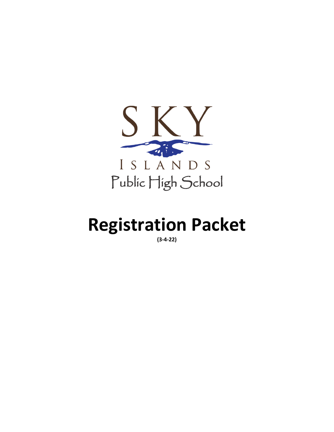

# **Registration Packet**

**(3-4-22)**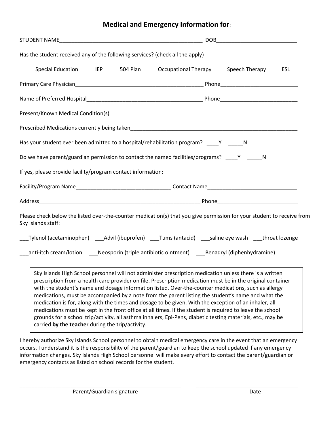# **Medical and Emergency Information for**:

| Has the student received any of the following services? (check all the apply)                       |                                                                                                                        |
|-----------------------------------------------------------------------------------------------------|------------------------------------------------------------------------------------------------------------------------|
| ___Special Education _____IEP _____504 Plan _____Occupational Therapy ____Speech Therapy _____ESL   |                                                                                                                        |
|                                                                                                     |                                                                                                                        |
|                                                                                                     |                                                                                                                        |
|                                                                                                     |                                                                                                                        |
|                                                                                                     |                                                                                                                        |
| Has your student ever been admitted to a hospital/rehabilitation program? ____Y _____N              |                                                                                                                        |
| Do we have parent/guardian permission to contact the named facilities/programs? ____Y ______N       |                                                                                                                        |
| If yes, please provide facility/program contact information:                                        |                                                                                                                        |
|                                                                                                     |                                                                                                                        |
|                                                                                                     |                                                                                                                        |
| Sky Islands staff:                                                                                  | Please check below the listed over-the-counter medication(s) that you give permission for your student to receive from |
|                                                                                                     |                                                                                                                        |
| _anti-itch cream/lotion _____Neosporin (triple antibiotic ointment) _____Benadryl (diphenhydramine) |                                                                                                                        |
|                                                                                                     | Sky Islands High School personnel will not administer prescription medication unless there is a written                |

Sky Islands High School personnel will not administer prescription medication unless there is a written prescription from a health care provider on file. Prescription medication must be in the original container with the student's name and dosage information listed. Over-the-counter medications, such as allergy medications, must be accompanied by a note from the parent listing the student's name and what the medication is for, along with the times and dosage to be given. With the exception of an inhaler, all medications must be kept in the front office at all times. If the student is required to leave the school grounds for a school trip/activity, all asthma inhalers, Epi-Pens, diabetic testing materials, etc., may be carried **by the teacher** during the trip/activity.

I hereby authorize Sky Islands School personnel to obtain medical emergency care in the event that an emergency occurs. I understand it is the responsibility of the parent/guardian to keep the school updated if any emergency information changes. Sky Islands High School personnel will make every effort to contact the parent/guardian or emergency contacts as listed on school records for the student.

\_\_\_\_\_\_\_\_\_\_\_\_\_\_\_\_\_\_\_\_\_\_\_\_\_\_\_\_\_\_\_\_\_\_\_\_\_\_\_\_\_\_\_\_\_\_\_\_\_\_\_\_\_\_ \_\_\_\_\_\_\_\_\_\_\_\_\_\_\_\_\_\_\_\_\_\_\_\_\_\_\_\_\_\_\_\_\_\_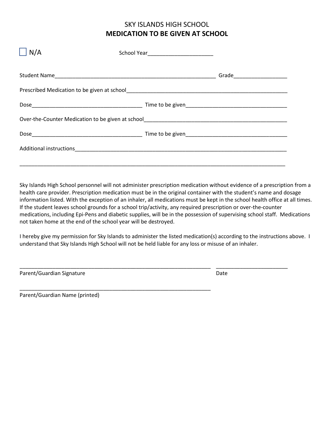# SKY ISLANDS HIGH SCHOOL **MEDICATION TO BE GIVEN AT SCHOOL**

| N/A |  |  |  |
|-----|--|--|--|
|     |  |  |  |
|     |  |  |  |
|     |  |  |  |
|     |  |  |  |
|     |  |  |  |
|     |  |  |  |
|     |  |  |  |

Sky Islands High School personnel will not administer prescription medication without evidence of a prescription from a health care provider. Prescription medication must be in the original container with the student's name and dosage information listed. With the exception of an inhaler, all medications must be kept in the school health office at all times. If the student leaves school grounds for a school trip/activity, any required prescription or over-the-counter medications, including Epi-Pens and diabetic supplies, will be in the possession of supervising school staff. Medications not taken home at the end of the school year will be destroyed.

I hereby give my permission for Sky Islands to administer the listed medication(s) according to the instructions above. I understand that Sky Islands High School will not be held liable for any loss or misuse of an inhaler.

\_\_\_\_\_\_\_\_\_\_\_\_\_\_\_\_\_\_\_\_\_\_\_\_\_\_\_\_\_\_\_\_\_\_\_\_\_\_\_\_\_\_\_\_\_\_\_\_\_\_\_\_\_\_\_\_\_\_\_\_\_\_\_\_ \_\_\_\_\_\_\_\_\_\_\_\_\_\_\_\_\_\_\_\_\_\_\_\_

\_\_\_\_\_\_\_\_\_\_\_\_\_\_\_\_\_\_\_\_\_\_\_\_\_\_\_\_\_\_\_\_\_\_\_\_\_\_\_\_\_\_\_\_\_\_\_\_\_\_\_\_\_\_\_\_\_\_\_\_\_\_\_\_

| Parent/Guardian Signature | Date |
|---------------------------|------|
|                           |      |

Parent/Guardian Name (printed)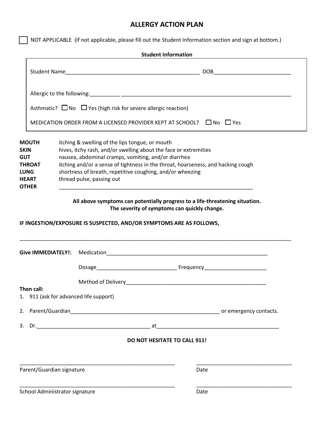## **ALLERGY ACTION PLAN**

 $\Box$  NOT APPLICABLE (If not applicable, please fill out the Student Information section and sign at bottom.)

|                                                                                                    |                                                                                                                                                                                                                                                                      | <b>Student Information</b>                                                                                                                                                                          |
|----------------------------------------------------------------------------------------------------|----------------------------------------------------------------------------------------------------------------------------------------------------------------------------------------------------------------------------------------------------------------------|-----------------------------------------------------------------------------------------------------------------------------------------------------------------------------------------------------|
|                                                                                                    |                                                                                                                                                                                                                                                                      |                                                                                                                                                                                                     |
|                                                                                                    |                                                                                                                                                                                                                                                                      |                                                                                                                                                                                                     |
|                                                                                                    | Asthmatic? $\Box$ No $\Box$ Yes (high risk for severe allergic reaction)                                                                                                                                                                                             |                                                                                                                                                                                                     |
|                                                                                                    |                                                                                                                                                                                                                                                                      | MEDICATION ORDER FROM A LICENSED PROVIDER KEPT AT SCHOOL? $\Box$ No $\Box$ Yes                                                                                                                      |
| <b>MOUTH</b><br><b>SKIN</b><br><b>GUT</b><br><b>THROAT</b><br>LUNG<br><b>HEART</b><br><b>OTHER</b> | itching & swelling of the lips tongue, or mouth<br>hives, itchy rash, and/or swelling about the face or extremities<br>nausea, abdominal cramps, vomiting, and/or diarrhea<br>shortness of breath, repetitive coughing, and/or wheezing<br>thread pulse, passing out | itching and/or a sense of tightness in the throat, hoarseness, and hacking cough                                                                                                                    |
|                                                                                                    |                                                                                                                                                                                                                                                                      | All above symptoms can potentially progress to a life-threatening situation.<br>The severity of symptoms can quickly change.<br>IF INGESTION/EXPOSURE IS SUSPECTED, AND/OR SYMPTOMS ARE AS FOLLOWS, |
|                                                                                                    |                                                                                                                                                                                                                                                                      |                                                                                                                                                                                                     |
|                                                                                                    |                                                                                                                                                                                                                                                                      |                                                                                                                                                                                                     |
| Then call:                                                                                         | 1. 911 (ask for advanced life support)                                                                                                                                                                                                                               |                                                                                                                                                                                                     |
|                                                                                                    |                                                                                                                                                                                                                                                                      |                                                                                                                                                                                                     |
|                                                                                                    |                                                                                                                                                                                                                                                                      |                                                                                                                                                                                                     |
|                                                                                                    |                                                                                                                                                                                                                                                                      | <b>DO NOT HESITATE TO CALL 911!</b>                                                                                                                                                                 |
| Parent/Guardian signature                                                                          |                                                                                                                                                                                                                                                                      | Date                                                                                                                                                                                                |
| School Administrator signature                                                                     |                                                                                                                                                                                                                                                                      | Date                                                                                                                                                                                                |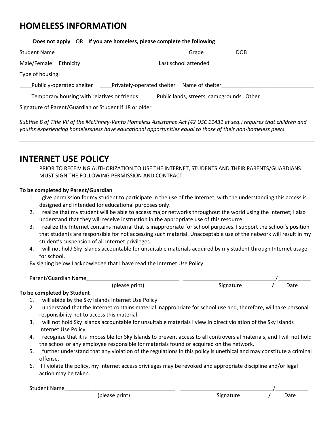# **HOMELESS INFORMATION**

| Does not apply OR If you are homeless, please complete the following.                                |                      |                  |
|------------------------------------------------------------------------------------------------------|----------------------|------------------|
| Student Name                                                                                         | Grade                | DOB <sub>D</sub> |
|                                                                                                      | Last school attended |                  |
| Type of housing:                                                                                     |                      |                  |
| Publicly-operated shelter ______Privately-operated shelter Name of shelter _________________________ |                      |                  |
| Temporary housing with relatives or friends Teublic lands, streets, campgrounds Other                |                      |                  |
| Signature of Parent/Guardian or Student if 18 or older                                               |                      |                  |

*Subtitle B of Title VII of the McKinney-Vento Homeless Assistance Act (42 USC 11431 et seq.) requires that children and youths experiencing homelessness have educational opportunities equal to those of their non-homeless peers.*

# **INTERNET USE POLICY**

PRIOR TO RECEIVING AUTHORIZATION TO USE THE INTERNET, STUDENTS AND THEIR PARENTS/GUARDIANS MUST SIGN THE FOLLOWING PERMISSION AND CONTRACT.

## **To be completed by Parent/Guardian**

- 1. I give permission for my student to participate in the use of the Internet, with the understanding this access is designed and intended for educational purposes only.
- 2. I realize that my student will be able to access major networks throughout the world using the Internet; I also understand that they will receive instruction in the appropriate use of this resource.
- 3. I realize the Internet contains material that is inappropriate for school purposes. I support the school's position that students are responsible for not accessing such material. Unacceptable use of the network will result in my student's suspension of all Internet privileges.
- 4. I will not hold Sky Islands accountable for unsuitable materials acquired by my student through Internet usage for school.

By signing below I acknowledge that I have read the Internet Use Policy.

| Parent/Guardian Name |                |           |      |
|----------------------|----------------|-----------|------|
|                      | (please print) | siønafure | Date |

## **To be completed by Student**

- 1. I will abide by the Sky Islands Internet Use Policy.
- 2. I understand that the Internet contains material inappropriate for school use and, therefore, will take personal responsibility not to access this material.
- 3. I will not hold Sky Islands accountable for unsuitable materials I view in direct violation of the Sky Islands Internet Use Policy.
- 4. I recognize that it is impossible for Sky Islands to prevent access to all controversial materials, and I will not hold the school or any employee responsible for materials found or acquired on the network.
- 5. I further understand that any violation of the regulations in this policy is unethical and may constitute a criminal offense.
- 6. If I violate the policy, my Internet access privileges may be revoked and appropriate discipline and/or legal action may be taken.

Student Name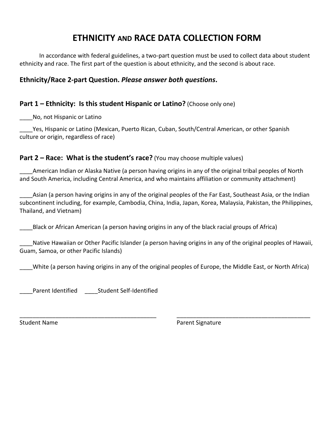# **ETHNICITY AND RACE DATA COLLECTION FORM**

In accordance with federal guidelines, a two-part question must be used to collect data about student ethnicity and race. The first part of the question is about ethnicity, and the second is about race.

# **Ethnicity/Race 2-part Question.** *Please answer both questions***.**

# **Part 1 – Ethnicity: Is this student Hispanic or Latino?** (Choose only one)

No, not Hispanic or Latino

Yes, Hispanic or Latino (Mexican, Puerto Rican, Cuban, South/Central American, or other Spanish culture or origin, regardless of race)

## **Part 2 – Race: What is the student's race?** (You may choose multiple values)

\_\_\_\_American Indian or Alaska Native (a person having origins in any of the original tribal peoples of North and South America, including Central America, and who maintains affiliation or community attachment)

\_\_\_\_Asian (a person having origins in any of the original peoples of the Far East, Southeast Asia, or the Indian subcontinent including, for example, Cambodia, China, India, Japan, Korea, Malaysia, Pakistan, the Philippines, Thailand, and Vietnam)

\_\_\_\_Black or African American (a person having origins in any of the black racial groups of Africa)

Native Hawaiian or Other Pacific Islander (a person having origins in any of the original peoples of Hawaii, Guam, Samoa, or other Pacific Islands)

White (a person having origins in any of the original peoples of Europe, the Middle East, or North Africa)

\_\_\_\_\_\_\_\_\_\_\_\_\_\_\_\_\_\_\_\_\_\_\_\_\_\_\_\_\_\_\_\_\_\_\_\_\_\_\_\_\_\_ \_\_\_\_\_\_\_\_\_\_\_\_\_\_\_\_\_\_\_\_\_\_\_\_\_\_\_\_\_\_\_\_\_\_\_\_\_\_\_\_\_

Parent Identified **Student Self-Identified** 

Student Name **Parent Signature** Parent Signature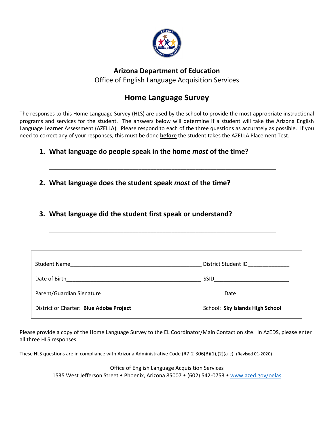

# **Arizona Department of Education** Office of English Language Acquisition Services

# **Home Language Survey**

The responses to this Home Language Survey (HLS) are used by the school to provide the most appropriate instructional programs and services for the student. The answers below will determine if a student will take the Arizona English Language Learner Assessment (AZELLA). Please respond to each of the three questions as accurately as possible. If you need to correct any of your responses, this must be done **before** the student takes the AZELLA Placement Test.

\_\_\_\_\_\_\_\_\_\_\_\_\_\_\_\_\_\_\_\_\_\_\_\_\_\_\_\_\_\_\_\_\_\_\_\_\_\_\_\_\_\_\_\_\_\_\_\_\_\_\_\_\_\_\_\_\_\_\_\_\_\_\_\_\_\_\_\_\_\_\_\_\_\_\_\_

\_\_\_\_\_\_\_\_\_\_\_\_\_\_\_\_\_\_\_\_\_\_\_\_\_\_\_\_\_\_\_\_\_\_\_\_\_\_\_\_\_\_\_\_\_\_\_\_\_\_\_\_\_\_\_\_\_\_\_\_\_\_\_\_\_\_\_\_\_\_\_\_\_\_\_\_

\_\_\_\_\_\_\_\_\_\_\_\_\_\_\_\_\_\_\_\_\_\_\_\_\_\_\_\_\_\_\_\_\_\_\_\_\_\_\_\_\_\_\_\_\_\_\_\_\_\_\_\_\_\_\_\_\_\_\_\_\_\_\_\_\_\_\_\_\_\_\_\_\_\_\_\_

# **1. What language do people speak in the home** *most* **of the time?**

- **2. What language does the student speak** *most* **of the time?**
- **3. What language did the student first speak or understand?**

| <b>Student Name</b>                                                                                             | District Student ID                                                                                           |
|-----------------------------------------------------------------------------------------------------------------|---------------------------------------------------------------------------------------------------------------|
| Date of Birth                                                                                                   | SSID                                                                                                          |
| Parent/Guardian Signature Management Control and Control of the Control of the Control of the Control of the Co | Date and the state of the state of the state of the state of the state of the state of the state of the state |
| District or Charter: Blue Adobe Project                                                                         | School: Sky Islands High School                                                                               |

Please provide a copy of the Home Language Survey to the EL Coordinator/Main Contact on site. In AzEDS, please enter all three HLS responses.

These HLS questions are in compliance with Arizona Administrative Code (R7-2-306(B)(1),(2)(a-c). (Revised 01-2020)

Office of English Language Acquisition Services 1535 West Jefferson Street • Phoenix, Arizona 85007 • (602) 542-0753 • [www.azed.gov/oelas](http://www.azed.gov/oelas)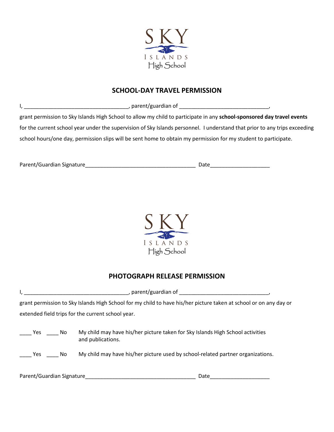

## **SCHOOL-DAY TRAVEL PERMISSION**

I, \_\_\_\_\_\_\_\_\_\_\_\_\_\_\_\_\_\_\_\_\_\_\_\_\_\_\_\_\_\_\_\_\_\_\_, parent/guardian of \_\_\_\_\_\_\_\_\_\_\_\_\_\_\_\_\_\_\_\_\_\_\_\_\_\_\_\_\_\_,

grant permission to Sky Islands High School to allow my child to participate in any **school-sponsored day travel events**  for the current school year under the supervision of Sky Islands personnel. I understand that prior to any trips exceeding school hours/one day, permission slips will be sent home to obtain my permission for my student to participate.

Parent/Guardian Signature\_\_\_\_\_\_\_\_\_\_\_\_\_\_\_\_\_\_\_\_\_\_\_\_\_\_\_\_\_\_\_\_\_\_\_\_\_ Date\_\_\_\_\_\_\_\_\_\_\_\_\_\_\_\_\_\_\_\_



# **PHOTOGRAPH RELEASE PERMISSION**

|                                                                                                                   | parent/guardian of entitled and all the set of the set of the set of the set of the set of the set of the set o                                                                        |  |
|-------------------------------------------------------------------------------------------------------------------|----------------------------------------------------------------------------------------------------------------------------------------------------------------------------------------|--|
| grant permission to Sky Islands High School for my child to have his/her picture taken at school or on any day or |                                                                                                                                                                                        |  |
| extended field trips for the current school year.                                                                 |                                                                                                                                                                                        |  |
| Yes No<br>Yes<br>No.                                                                                              | My child may have his/her picture taken for Sky Islands High School activities<br>and publications.<br>My child may have his/her picture used by school-related partner organizations. |  |
|                                                                                                                   |                                                                                                                                                                                        |  |

Parent/Guardian Signature\_\_\_\_\_\_\_\_\_\_\_\_\_\_\_\_\_\_\_\_\_\_\_\_\_\_\_\_\_\_\_\_\_\_\_\_\_ Date\_\_\_\_\_\_\_\_\_\_\_\_\_\_\_\_\_\_\_\_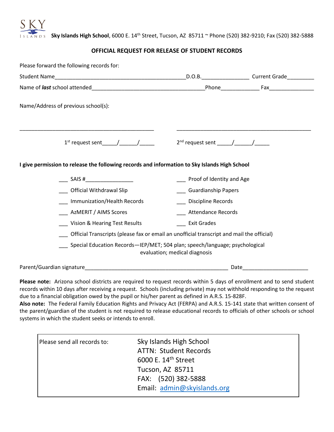

 **Sky Islands High School**, 6000 E. 14th Street, Tucson, AZ 85711 ~ Phone (520) 382-9210; Fax (520) 382-5888

## **OFFICIAL REQUEST FOR RELEASE OF STUDENT RECORDS**

|                                                                                               |                               | D.O.B. __________________________Current Grade_____________ |
|-----------------------------------------------------------------------------------------------|-------------------------------|-------------------------------------------------------------|
|                                                                                               |                               |                                                             |
| Name/Address of previous school(s):                                                           |                               |                                                             |
| $1st$ request sent $\frac{1}{2}$ / $\frac{1}{2}$                                              |                               |                                                             |
| I give permission to release the following records and information to Sky Islands High School |                               |                                                             |
|                                                                                               |                               |                                                             |
| ___ SAIS #__________________                                                                  | __ Proof of Identity and Age  |                                                             |
| __ Official Withdrawal Slip                                                                   | ___ Guardianship Papers       |                                                             |
| __ Immunization/Health Records                                                                | ___ Discipline Records        |                                                             |
| AzMERIT / AIMS Scores                                                                         | ___ Attendance Records        |                                                             |
| _ Vision & Hearing Test Results                                                               | <b>Exit Grades</b>            |                                                             |
| Official Transcripts (please fax or email an unofficial transcript and mail the official)     |                               |                                                             |
| Special Education Records-IEP/MET; 504 plan; speech/language; psychological                   | evaluation; medical diagnosis |                                                             |

**Please note:** Arizona school districts are required to request records within 5 days of enrollment and to send student records within 10 days after receiving a request. Schools (including private) may not withhold responding to the request due to a financial obligation owed by the pupil or his/her parent as defined in A.R.S. 15-828F.

**Also note:** The Federal Family Education Rights and Privacy Act (FERPA) and A.R.S. 15-141 state that written consent of the parent/guardian of the student is not required to release educational records to officials of other schools or school systems in which the student seeks or intends to enroll.

| Please send all records to: | Sky Islands High School<br><b>ATTN: Student Records</b><br>6000 E. 14 <sup>th</sup> Street<br>Tucson, AZ 85711<br>FAX: (520) 382-5888<br>Email: admin@skyislands.org |
|-----------------------------|----------------------------------------------------------------------------------------------------------------------------------------------------------------------|
|                             |                                                                                                                                                                      |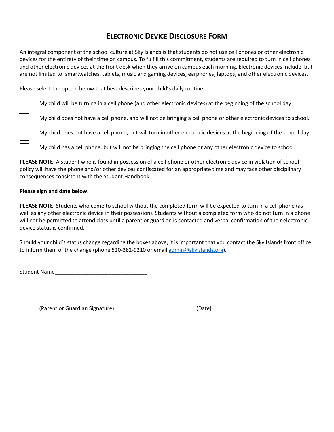# **ELECTRONIC DEVICE DISCLOSURE FORM**

An integral component of the school culture at Sky Islands is that students do not use cell phones or other electronic devices for the entirety of their time on campus. To fulfill this commitment, students are required to turn in cell phones and other electronic devices at the front desk when they arrive on campus each morning. Electronic devices include, but are not limited to: smartwatches, tablets, music and gaming devices, earphones, laptops, and other electronic devices.

Please select the option below that best describes your child's daily routine:

My child will be turning in a cell phone (and other electronic devices) at the beginning of the school day.

My child does not have a cell phone, and will not be bringing a cell phone or other electronic devices to school.

My child does not have a cell phone, but will turn in other electronic devices at the beginning of the school day.

My child has a cell phone, but will not be bringing the cell phone or any other electronic device to school.

**PLEASE NOTE**: A student who is found in possession of a cell phone or other electronic device in violation of school policy will have the phone and/or other devices confiscated for an appropriate time and may face other disciplinary consequences consistent with the Student Handbook.

#### **Please sign and date below.**

**PLEASE NOTE**: Students who come to school without the completed form will be expected to turn in a cell phone (as well as any other electronic device in their possession). Students without a completed form who do not turn in a phone will not be permitted to attend class until a parent or guardian is contacted and verbal confirmation of their electronic device status is confirmed.

Should your child's status change regarding the boxes above, it is important that you contact the Sky Islands front office to inform them of the change (phone 520-382-9210 or email [admin@skyislands.org\)](mailto:admin@skyislands.org).

\_\_\_\_\_\_\_\_\_\_\_\_\_\_\_\_\_\_\_\_\_\_\_\_\_\_\_\_\_\_\_\_\_\_\_\_\_\_\_\_\_\_ \_\_\_\_\_\_\_\_\_\_\_\_\_\_\_\_\_\_\_\_\_\_\_\_\_\_

Student Name\_\_\_\_\_\_\_\_\_\_\_\_\_\_\_\_\_\_\_\_\_\_\_\_\_\_\_\_\_\_\_

(Parent or Guardian Signature) (Date)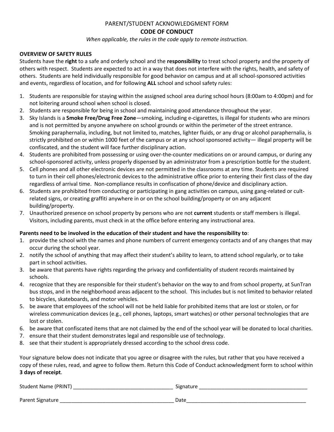# PARENT/STUDENT ACKNOWLEDGMENT FORM

## **CODE OF CONDUCT**

*When applicable, the rules in the code apply to remote instruction.*

#### **OVERVIEW OF SAFETY RULES**

Students have the **right** to a safe and orderly school and the **responsibility** to treat school property and the property of others with respect. Students are expected to act in a way that does not interfere with the rights, health, and safety of others. Students are held individually responsible for good behavior on campus and at all school-sponsored activities and events, regardless of location, and for following **ALL** school and school safety rules:

- 1. Students are responsible for staying within the assigned school area during school hours (8:00am to 4:00pm) and for not loitering around school when school is closed.
- 2. Students are responsible for being in school and maintaining good attendance throughout the year.
- 3. Sky Islands is a **Smoke Free/Drug Free Zone**—smoking, including e-cigarettes, is illegal for students who are minors and is not permitted by anyone anywhere on school grounds or within the perimeter of the street entrance. Smoking paraphernalia, including, but not limited to, matches, lighter fluids, or any drug or alcohol paraphernalia, is strictly prohibited on or within 1000 feet of the campus or at any school sponsored activity— illegal property will be confiscated, and the student will face further disciplinary action.
- 4. Students are prohibited from possessing or using over-the-counter medications on or around campus, or during any school-sponsored activity, unless properly dispensed by an administrator from a prescription bottle for the student.
- 5. Cell phones and all other electronic devices are not permitted in the classrooms at any time. Students are required to turn in their cell phones/electronic devices to the administrative office prior to entering their first class of the day regardless of arrival time. Non-compliance results in confiscation of phone/device and disciplinary action.
- 6. Students are prohibited from conducting or participating in gang activities on campus, using gang-related or cultrelated signs, or creating graffiti anywhere in or on the school building/property or on any adjacent building/property.
- 7. Unauthorized presence on school property by persons who are not **current** students or staff members is illegal. Visitors, including parents, must check in at the office before entering any instructional area.

## **Parents need to be involved in the education of their student and have the responsibility to**:

- 1. provide the school with the names and phone numbers of current emergency contacts and of any changes that may occur during the school year.
- 2. notify the school of anything that may affect their student's ability to learn, to attend school regularly, or to take part in school activities.
- 3. be aware that parents have rights regarding the privacy and confidentiality of student records maintained by schools.
- 4. recognize that they are responsible for their student's behavior on the way to and from school property, at SunTran bus stops, and in the neighborhood areas adjacent to the school. This includes but is not limited to behavior related to bicycles, skateboards, and motor vehicles.
- 5. be aware that employees of the school will not be held liable for prohibited items that are lost or stolen, or for wireless communication devices (e.g., cell phones, laptops, smart watches) or other personal technologies that are lost or stolen.
- 6. be aware that confiscated items that are not claimed by the end of the school year will be donated to local charities.
- 7. ensure that their student demonstrates legal and responsible use of technology.
- 8. see that their student is appropriately dressed according to the school dress code.

Your signature below does not indicate that you agree or disagree with the rules, but rather that you have received a copy of these rules, read, and agree to follow them. Return this Code of Conduct acknowledgment form to school within **3 days of receipt**.

| <b>Student Name (PRINT)</b> | Signature |
|-----------------------------|-----------|
|                             |           |
| Parent Signature            | Date      |